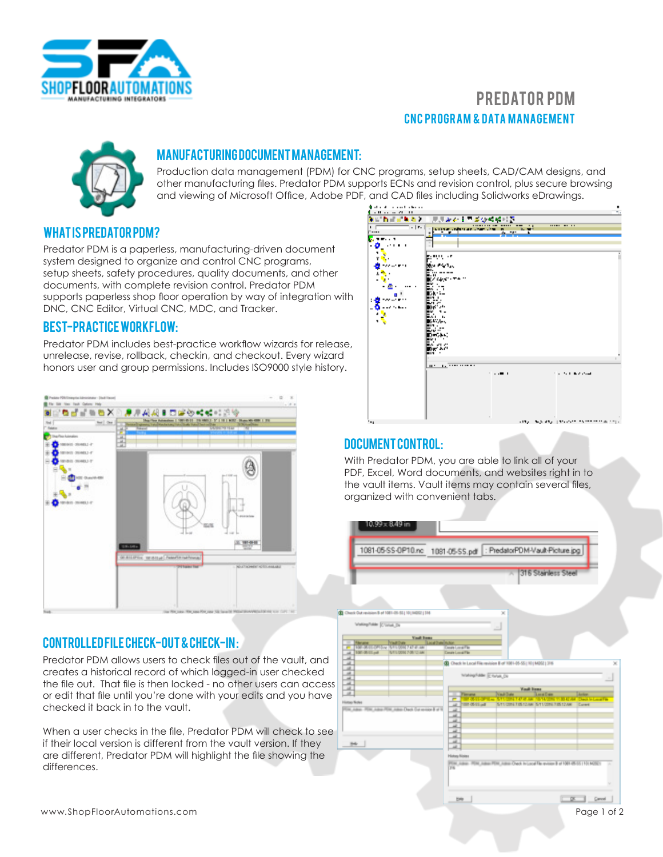

# **CNC PROGRAM & DATA MANAGEMENT** PREDATOR PDM



#### Manufacturing Document Management:

Production data management (PDM) for CNC programs, setup sheets, CAD/CAM designs, and other manufacturing files. Predator PDM supports ECNs and revision control, plus secure browsing

# WHAT IS PREDATOR PDM?

Predator PDM is a paperless, manufacturing-driven document system designed to organize and control CNC programs, setup sheets, safety procedures, quality documents, and other documents, with complete revision control. Predator PDM supports paperless shop floor operation by way of integration with DNC, CNC Editor, Virtual CNC, MDC, and Tracker.

#### Best-practice workflow:

Predator PDM includes best-practice workflow wizards for release, unrelease, revise, rollback, checkin, and checkout. Every wizard honors user and group permissions. Includes ISO9000 style history.



# Controlled file check-out & check-in :

Predator PDM allows users to check files out of the vault, and creates a historical record of which logged-in user checked the file out. That file is then locked - no other users can access or edit that file until you're done with your edits and you have checked it back in to the vault.

When a user checks in the file, Predator PDM will check to see if their local version is different from the vault version. If they are different, Predator PDM will highlight the file showing the differences.



### Document control:

With Predator PDM, you are able to link all of your PDF, Excel, Word documents, and websites right in to the vault items. Vault items may contain several files, organized with convenient tabs.

|                                                                                 | 1081-05-SS-OP10.nc 1081-05-SS.pdf : PredatorPDM-Vault-Picture.jpg                       |
|---------------------------------------------------------------------------------|-----------------------------------------------------------------------------------------|
|                                                                                 | 316 Stainless Steel                                                                     |
|                                                                                 |                                                                                         |
| Chank Gut revision 8 of 1081-05-52 10 (AIDZ) (186                               | w                                                                                       |
| Welling Falder (Change De                                                       |                                                                                         |
| <b>Visab Frema</b><br>Louis Die<br>YellOw                                       |                                                                                         |
| <b>SERVICES CONSUMING SERVICE</b><br>100-39-11 auf<br><b>MILODIE 7-06 TO AM</b> | Court Local File<br><b>Constellated Film</b>                                            |
|                                                                                 | Check in Local File revision B of 1081-05-55; 10 ( MDS2 ) 316                           |
|                                                                                 |                                                                                         |
|                                                                                 | hristogrilder E tutus De                                                                |
|                                                                                 | <b>Yout from:</b>                                                                       |
|                                                                                 | <b>New Park</b><br><b>Band Date</b><br>Auction<br><b>Figures</b><br>David In Local Fits |
| <b>Histogr Notes</b>                                                            | THE 25-25 YEAR<br>NYTICINE FINISIAN NYTICINE FINISIAN Curee<br>a.                       |
| POX, ABAI: POX, ABAI POX, ABAI Dack DJ ve (dox 8 of 10)                         | a.                                                                                      |
|                                                                                 | a.<br>a.                                                                                |
|                                                                                 | a.                                                                                      |
|                                                                                 | ak.                                                                                     |
|                                                                                 | a.<br>a.                                                                                |
|                                                                                 | ü.                                                                                      |
|                                                                                 | <b>History Riceires</b>                                                                 |
|                                                                                 | PEN, ABAI-RIM, ABAI-RIM, ABAI-Owck In Local Re evident at 1981-8535 (10) NOD1           |
|                                                                                 | P6                                                                                      |
|                                                                                 |                                                                                         |
|                                                                                 |                                                                                         |
|                                                                                 |                                                                                         |
|                                                                                 |                                                                                         |